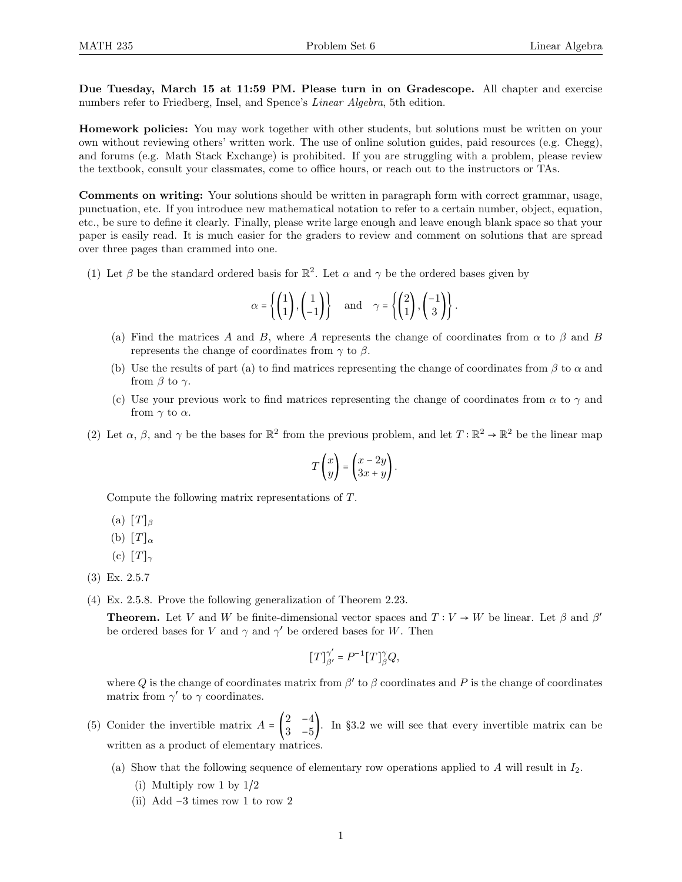Due Tuesday, March 15 at 11:59 PM. Please turn in on Gradescope. All chapter and exercise numbers refer to Friedberg, Insel, and Spence's Linear Algebra, 5th edition.

Homework policies: You may work together with other students, but solutions must be written on your own without reviewing others' written work. The use of online solution guides, paid resources (e.g. Chegg), and forums (e.g. Math Stack Exchange) is prohibited. If you are struggling with a problem, please review the textbook, consult your classmates, come to office hours, or reach out to the instructors or TAs.

Comments on writing: Your solutions should be written in paragraph form with correct grammar, usage, punctuation, etc. If you introduce new mathematical notation to refer to a certain number, object, equation, etc., be sure to define it clearly. Finally, please write large enough and leave enough blank space so that your paper is easily read. It is much easier for the graders to review and comment on solutions that are spread over three pages than crammed into one.

(1) Let  $\beta$  be the standard ordered basis for  $\mathbb{R}^2$ . Let  $\alpha$  and  $\gamma$  be the ordered bases given by

$$
\alpha = \left\{ \begin{pmatrix} 1 \\ 1 \end{pmatrix}, \begin{pmatrix} 1 \\ -1 \end{pmatrix} \right\} \quad \text{and} \quad \gamma = \left\{ \begin{pmatrix} 2 \\ 1 \end{pmatrix}, \begin{pmatrix} -1 \\ 3 \end{pmatrix} \right\}.
$$

- (a) Find the matrices A and B, where A represents the change of coordinates from  $\alpha$  to  $\beta$  and B represents the change of coordinates from  $\gamma$  to  $\beta$ .
- (b) Use the results of part (a) to find matrices representing the change of coordinates from  $\beta$  to  $\alpha$  and from  $\beta$  to  $\gamma$ .
- (c) Use your previous work to find matrices representing the change of coordinates from  $\alpha$  to  $\gamma$  and from  $\gamma$  to  $\alpha$ .
- (2) Let  $\alpha$ ,  $\beta$ , and  $\gamma$  be the bases for  $\mathbb{R}^2$  from the previous problem, and let  $T : \mathbb{R}^2 \to \mathbb{R}^2$  be the linear map

$$
T\begin{pmatrix} x \\ y \end{pmatrix} = \begin{pmatrix} x - 2y \\ 3x + y \end{pmatrix}.
$$

Compute the following matrix representations of T.

- (a)  $[T]_{\beta}$
- (b)  $[T]_{\alpha}$
- (c)  $[T]_{\gamma}$
- (3) Ex. 2.5.7
- (4) Ex. 2.5.8. Prove the following generalization of Theorem 2.23.

**Theorem.** Let V and W be finite-dimensional vector spaces and  $T: V \to W$  be linear. Let  $\beta$  and  $\beta'$ be ordered bases for V and  $\gamma$  and  $\gamma'$  be ordered bases for W. Then

$$
[T]^{\gamma'}_{\beta'} = P^{-1}[T]^{\gamma}_{\beta} Q,
$$

where Q is the change of coordinates matrix from  $\beta'$  to  $\beta$  coordinates and P is the change of coordinates matrix from  $\gamma'$  to  $\gamma$  coordinates.

- (5) Conider the invertible matrix  $A = \begin{pmatrix} 2 & -4 \\ 2 & 5 \end{pmatrix}$  $\frac{2}{3}$   $\frac{1}{-5}$ . In §3.2 we will see that every invertible matrix can be written as a product of elementary matrices.
	- (a) Show that the following sequence of elementary row operations applied to A will result in  $I_2$ .
		- (i) Multiply row 1 by 1/2
		- (ii) Add −3 times row 1 to row 2